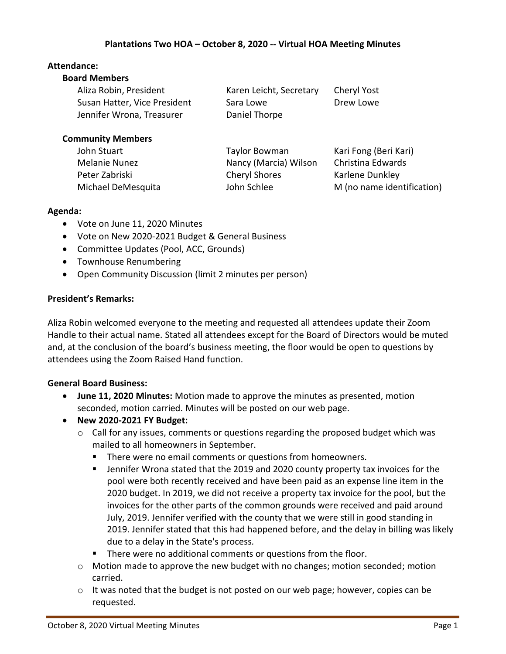# **Attendance:**

| <b>Board Members</b>         |                         |                       |
|------------------------------|-------------------------|-----------------------|
| Aliza Robin, President       | Karen Leicht, Secretary | Cheryl Yost           |
| Susan Hatter, Vice President | Sara Lowe               | Drew Lowe             |
| Jennifer Wrona, Treasurer    | Daniel Thorpe           |                       |
| <b>Community Members</b>     |                         |                       |
| John Stuart                  | <b>Taylor Bowman</b>    | Kari Fong (Beri Kari) |
| <b>Melanie Nunez</b>         | Nancy (Marcia) Wilson   | Christina Edwards     |
| Peter Zabriski               | <b>Cheryl Shores</b>    | Karlene Dunkley       |

Michael DeMesquita John Schlee M (no name identification)

#### **Agenda:**

- Vote on June 11, 2020 Minutes
- Vote on New 2020-2021 Budget & General Business
- Committee Updates (Pool, ACC, Grounds)
- Townhouse Renumbering
- Open Community Discussion (limit 2 minutes per person)

# **President's Remarks:**

Aliza Robin welcomed everyone to the meeting and requested all attendees update their Zoom Handle to their actual name. Stated all attendees except for the Board of Directors would be muted and, at the conclusion of the board's business meeting, the floor would be open to questions by attendees using the Zoom Raised Hand function.

### **General Board Business:**

- **June 11, 2020 Minutes:** Motion made to approve the minutes as presented, motion seconded, motion carried. Minutes will be posted on our web page.
- **New 2020-2021 FY Budget:** 
	- $\circ$  Call for any issues, comments or questions regarding the proposed budget which was mailed to all homeowners in September.
		- There were no email comments or questions from homeowners.
		- **■** Jennifer Wrona stated that the 2019 and 2020 county property tax invoices for the pool were both recently received and have been paid as an expense line item in the 2020 budget. In 2019, we did not receive a property tax invoice for the pool, but the invoices for the other parts of the common grounds were received and paid around July, 2019. Jennifer verified with the county that we were still in good standing in 2019. Jennifer stated that this had happened before, and the delay in billing was likely due to a delay in the State's process*.*
		- **EXECT** There were no additional comments or questions from the floor.
	- $\circ$  Motion made to approve the new budget with no changes; motion seconded; motion carried.
	- $\circ$  It was noted that the budget is not posted on our web page; however, copies can be requested.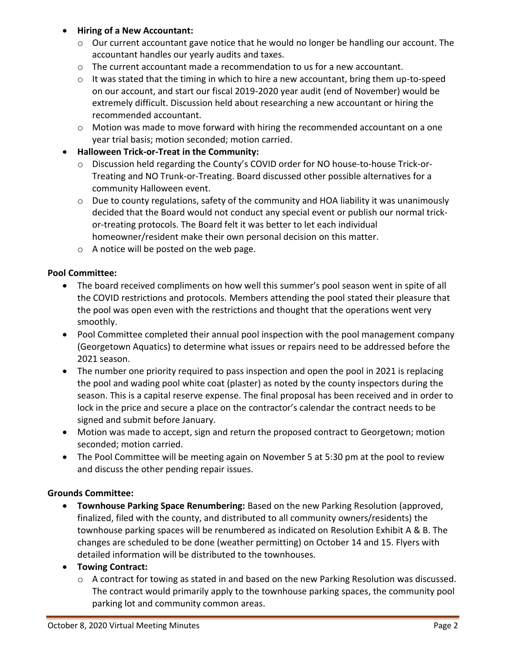#### • **Hiring of a New Accountant:**

- $\circ$  Our current accountant gave notice that he would no longer be handling our account. The accountant handles our yearly audits and taxes.
- $\circ$  The current accountant made a recommendation to us for a new accountant.
- $\circ$  It was stated that the timing in which to hire a new accountant, bring them up-to-speed on our account, and start our fiscal 2019-2020 year audit (end of November) would be extremely difficult. Discussion held about researching a new accountant or hiring the recommended accountant.
- $\circ$  Motion was made to move forward with hiring the recommended accountant on a one year trial basis; motion seconded; motion carried.

# • **Halloween Trick-or-Treat in the Community:**

- o Discussion held regarding the County's COVID order for NO house-to-house Trick-or-Treating and NO Trunk-or-Treating. Board discussed other possible alternatives for a community Halloween event.
- $\circ$  Due to county regulations, safety of the community and HOA liability it was unanimously decided that the Board would not conduct any special event or publish our normal trickor-treating protocols. The Board felt it was better to let each individual homeowner/resident make their own personal decision on this matter.
- o A notice will be posted on the web page.

# **Pool Committee:**

- The board received compliments on how well this summer's pool season went in spite of all the COVID restrictions and protocols. Members attending the pool stated their pleasure that the pool was open even with the restrictions and thought that the operations went very smoothly.
- Pool Committee completed their annual pool inspection with the pool management company (Georgetown Aquatics) to determine what issues or repairs need to be addressed before the 2021 season.
- The number one priority required to pass inspection and open the pool in 2021 is replacing the pool and wading pool white coat (plaster) as noted by the county inspectors during the season. This is a capital reserve expense. The final proposal has been received and in order to lock in the price and secure a place on the contractor's calendar the contract needs to be signed and submit before January.
- Motion was made to accept, sign and return the proposed contract to Georgetown; motion seconded; motion carried.
- The Pool Committee will be meeting again on November 5 at 5:30 pm at the pool to review and discuss the other pending repair issues.

### **Grounds Committee:**

- **Townhouse Parking Space Renumbering:** Based on the new Parking Resolution (approved, finalized, filed with the county, and distributed to all community owners/residents) the townhouse parking spaces will be renumbered as indicated on Resolution Exhibit A & B. The changes are scheduled to be done (weather permitting) on October 14 and 15. Flyers with detailed information will be distributed to the townhouses.
- **Towing Contract:** 
	- $\circ$  A contract for towing as stated in and based on the new Parking Resolution was discussed. The contract would primarily apply to the townhouse parking spaces, the community pool parking lot and community common areas.